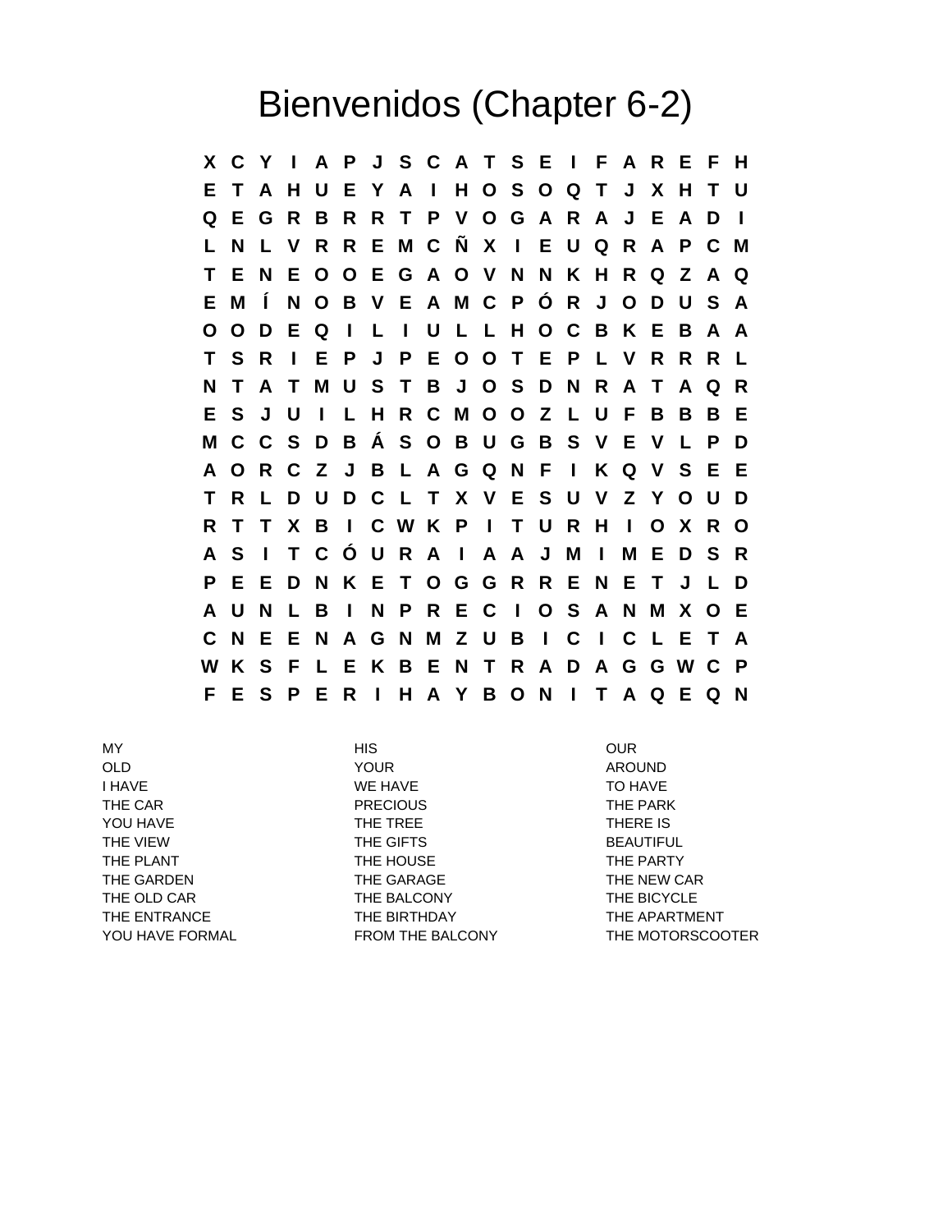## Bienvenidos (Chapter 6-2)

**X C Y I A P J S C A T S E I F A R E F H E T A H U E Y A I H O S O Q T J X H T U Q E G R B R R T P V O G A R A J E A D I L N L V R R E M C Ñ X I E U Q R A P C M T E N E O O E G A O V N N K H R Q Z A Q E M Í N O B V E A M C P Ó R J O D U S A O O D E Q I L I U L L H O C B K E B A A T S R I E P J P E O O T E P L V R R R L N T A T M U S T B J O S D N R A T A Q R E S J U I L H R C M O O Z L U F B B B E M C C S D B Á S O B U G B S V E V L P D A O R C Z J B L A G Q N F I K Q V S E E T R L D U D C L T X V E S U V Z Y O U D R T T X B I C W K P I T U R H I O X R O A S I T C Ó U R A I A A J M I M E D S R P E E D N K E T O G G R R E N E T J L D A U N L B I N P R E C I O S A N M X O E C N E E N A G N M Z U B I C I C L E T A W K S F L E K B E N T R A D A G G W C P F E S P E R I H A Y B O N I T A Q E Q N**

I HAVE TO HAVE TO HAVE TO HAVE THE CAR **EXAMPLE 20 THE PARK** PRECIOUS THE PARK YOU HAVE THE TREE THE TREE THERE IS THE VIEW **THE GIFTS** BEAUTIFUL THE PLANT THE HOUSE THE PARTY THE GARDEN THE GARAGE THE THE NEW CAR THE OLD CAR THE BALCONY THE BICYCLE THE ENTRANCE **THE BIRTHDAY** THE APARTMENT

MY HIS OUR OLD YOUR AROUND

YOU HAVE FORMAL FROM THE BALCONY THE MOTORSCOOTER